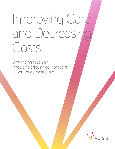## Improving Care and Decreasin Costs

Advancing precision medicine through collaborative laboratory stewardship.

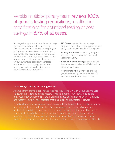Versiti's multidisciplinary team reviews 100% of genetic testing requisitions, resulting in modifications for optimized testing or cost savings in 8.7% of all cases.

An integral component of Versiti's hematology genetics service is an active laboratory stewardship and utilization guidance program to improve the value of costly genetic testing. Our genetic counselors are always available for clinical consultation, and as part of testing protocol, our multidisciplinary team actively reviews patient clinical history, contacts the provider with clarifying questions as necessary, and works with clinicians to optimize orders as appropriate.

- 110 Genes selected for hematology diagnosis, available as single-gene sequence analysis or combined into a custom panel.
- 14 Targeted Panels specifically designed with gene-by-gene selection for clinical validity and utility.
- \$681.85 Average Savings\* per modified test order as a result of Versiti's laboratory stewardship efforts.
- Approximately 1 in 3 phone calls to the genetic counseling team are requests for guidance in optimal testing strategy.

## **Case Study: Looking at the Big Picture**

A sample from a female patient was received requesting VWD 2N Sequence Analysis. Review of the order and clinical history revealed that other functional studies had previously been performed at Versiti. 2N Binding had been negative, and VWD studies and factor VIII activity had indicated that the patient had low factor VIII levels.

Based on this review, a recommendation was made for the cancellation of 2N sequencing, and a change to an *F8* reflex analysis (inversion analysis and reflex to *F8* sequence analysis), to which the provider agreed. The results showed that the patient had an *F8* inversion, definitively diagnosing the patient as a carrier of severe hemophilia A, and resulting in significant medical and reproductive implications for the patient and her family. In addition, this order modification represented a direct order savings of \$390.00.

\*Savings calculated based upon genetic testing executed between 6/20/2017-6/1/2018.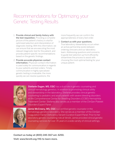## Recommendations for Optimizing your Genetic Testing Results

- 1. Provide clinical and family history with the test requisition. Providing a complete picture of the patient's history is vital for optimized selection and interpretation of diagnostic testing. With this information, we can ensure that we are executing the most relevant diagnostic test for the patient, and provide patient-specific recommendations based on the genetic findings.
- 2. Provide accurate physician contact information. Physician contact information is used solely for communication in regards to your patients and test orders. Timely communication in highly specialized genetic testing is invaluable; the more quickly we can resolve questions, the

more frequently we can confirm the appropriateness of every test order.

3. Contact us with your questions. True laboratory stewardship occurs when an active partnership exists between ordering clinicians and our laboratory team. Addressing questions and concerns to guide test selection up front efficiently streamlines the process to assist with choosing the most optimal testing for your unique patient.



Stefanie Dugan, MS, CGC has a dual role in genetic counseling and clinical hematology genetics. In addition to promoting clinical utility and stewardship in the laboratory, Stefanie provides clinical genetic counseling to pediatric and adult patients with severe bleeding disorders at the Comprehensive Center for Bleeding Disorders (CCBD) Hemophilia Treatment Center. Stefanie also serves as a member of the ClinGen Platelet Disorders Expert Panel.



Jamie McCreery, MS, CGC is a certified genetic counselor in the hematology genetics laboratory. She serves as a member of the ClinGen Coagulation Factor Deficiency Variant Curation Expert Panel. Prior to her laboratory genetic counseling role at Versiti, Jamie provided clinical genetic counseling services for over 35 years in a wide variety of clinical settings.

**Contact us today at (800) 245-3117 ext. 6250. Visit: www.Versiti.org/HG to learn more.**